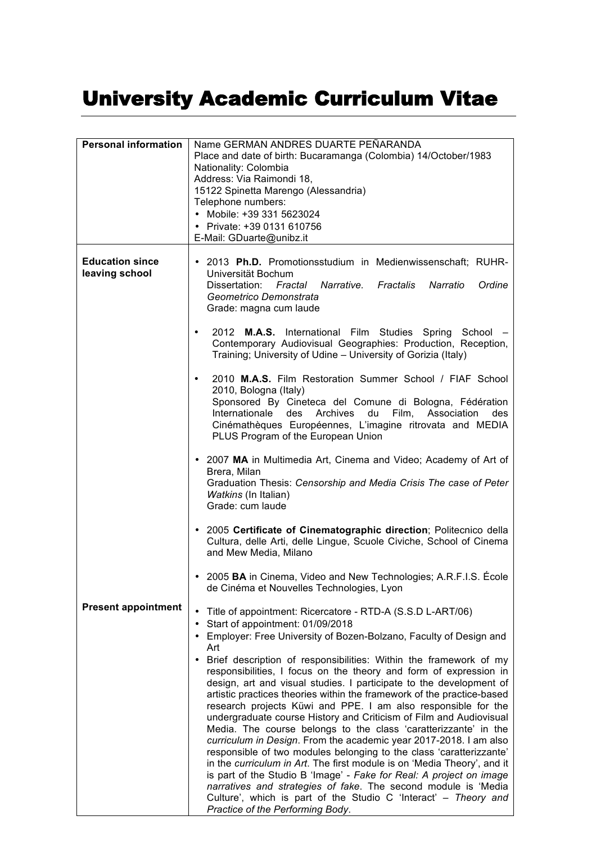## University Academic Curriculum Vitae

| <b>Personal information</b>              | Name GERMAN ANDRES DUARTE PEÑARANDA<br>Place and date of birth: Bucaramanga (Colombia) 14/October/1983<br>Nationality: Colombia<br>Address: Via Raimondi 18,<br>15122 Spinetta Marengo (Alessandria)<br>Telephone numbers:<br>• Mobile: +39 331 5623024<br>• Private: +39 0131 610756<br>E-Mail: GDuarte@unibz.it                                                                                                                                                                                                                                                                                                                                                                                                                                                                                                                                                                                                                                                                                                                                                                                                                                                     |
|------------------------------------------|-----------------------------------------------------------------------------------------------------------------------------------------------------------------------------------------------------------------------------------------------------------------------------------------------------------------------------------------------------------------------------------------------------------------------------------------------------------------------------------------------------------------------------------------------------------------------------------------------------------------------------------------------------------------------------------------------------------------------------------------------------------------------------------------------------------------------------------------------------------------------------------------------------------------------------------------------------------------------------------------------------------------------------------------------------------------------------------------------------------------------------------------------------------------------|
| <b>Education since</b><br>leaving school | . 2013 Ph.D. Promotionsstudium in Medienwissenschaft; RUHR-<br>Universität Bochum<br>Narrative. Fractalis<br>Narratio<br>Dissertation:<br>Fractal<br>Ordine<br>Geometrico Demonstrata<br>Grade: magna cum laude<br>2012<br><b>M.A.S.</b> International Film Studies Spring<br>School<br>$\bullet$<br>Contemporary Audiovisual Geographies: Production, Reception,<br>Training; University of Udine - University of Gorizia (Italy)                                                                                                                                                                                                                                                                                                                                                                                                                                                                                                                                                                                                                                                                                                                                    |
|                                          | 2010 M.A.S. Film Restoration Summer School / FIAF School<br>$\bullet$<br>2010, Bologna (Italy)<br>Sponsored By Cineteca del Comune di Bologna, Fédération<br>Internationale<br>des<br>Archives<br>du<br>Film,<br>Association<br>des<br>Cinémathèques Européennes, L'imagine ritrovata and MEDIA<br>PLUS Program of the European Union                                                                                                                                                                                                                                                                                                                                                                                                                                                                                                                                                                                                                                                                                                                                                                                                                                 |
|                                          | • 2007 MA in Multimedia Art, Cinema and Video; Academy of Art of<br>Brera, Milan<br>Graduation Thesis: Censorship and Media Crisis The case of Peter<br>Watkins (In Italian)<br>Grade: cum laude                                                                                                                                                                                                                                                                                                                                                                                                                                                                                                                                                                                                                                                                                                                                                                                                                                                                                                                                                                      |
|                                          | • 2005 Certificate of Cinematographic direction; Politecnico della<br>Cultura, delle Arti, delle Lingue, Scuole Civiche, School of Cinema<br>and Mew Media, Milano                                                                                                                                                                                                                                                                                                                                                                                                                                                                                                                                                                                                                                                                                                                                                                                                                                                                                                                                                                                                    |
|                                          | 2005 BA in Cinema, Video and New Technologies; A.R.F.I.S. École<br>de Cinéma et Nouvelles Technologies, Lyon                                                                                                                                                                                                                                                                                                                                                                                                                                                                                                                                                                                                                                                                                                                                                                                                                                                                                                                                                                                                                                                          |
| <b>Present appointment</b>               | Title of appointment: Ricercatore - RTD-A (S.S.D L-ART/06)<br>$\bullet$<br>Start of appointment: 01/09/2018<br>• Employer: Free University of Bozen-Bolzano, Faculty of Design and<br>Art<br>Brief description of responsibilities: Within the framework of my<br>responsibilities, I focus on the theory and form of expression in<br>design, art and visual studies. I participate to the development of<br>artistic practices theories within the framework of the practice-based<br>research projects Küwi and PPE. I am also responsible for the<br>undergraduate course History and Criticism of Film and Audiovisual<br>Media. The course belongs to the class 'caratterizzante' in the<br>curriculum in Design. From the academic year 2017-2018. I am also<br>responsible of two modules belonging to the class 'caratterizzante'<br>in the curriculum in Art. The first module is on 'Media Theory', and it<br>is part of the Studio B 'Image' - Fake for Real: A project on image<br>narratives and strategies of fake. The second module is 'Media<br>Culture', which is part of the Studio C 'Interact' - Theory and<br>Practice of the Performing Body. |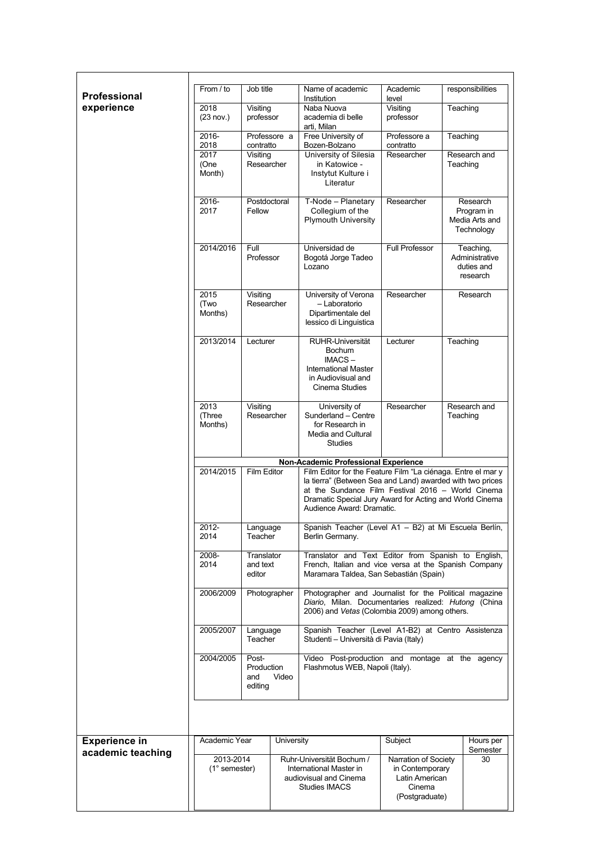| <b>Professional</b>  | From / to                    | Job title                                      |              | Name of academic<br>Institution                                                                                                                                                                                                                                                                                | Academic<br>level                                                                     | responsibilities                                       |
|----------------------|------------------------------|------------------------------------------------|--------------|----------------------------------------------------------------------------------------------------------------------------------------------------------------------------------------------------------------------------------------------------------------------------------------------------------------|---------------------------------------------------------------------------------------|--------------------------------------------------------|
| experience           | 2018<br>(23 nov.)            | Visiting<br>professor                          |              | Naba Nuova<br>academia di belle<br>arti. Milan                                                                                                                                                                                                                                                                 | Visiting<br>professor                                                                 | Teaching                                               |
|                      | 2016-                        |                                                | Professore a | Free University of                                                                                                                                                                                                                                                                                             | Professore a                                                                          | Teaching                                               |
|                      | 2018<br>2017                 | contratto<br>Visiting                          |              | Bozen-Bolzano<br>University of Silesia                                                                                                                                                                                                                                                                         | contratto<br>Researcher                                                               | Research and                                           |
|                      | (One<br>Month)               | Researcher                                     |              | in Katowice -<br>Instytut Kulture i<br>Literatur                                                                                                                                                                                                                                                               |                                                                                       | Teaching                                               |
|                      | $2016 -$<br>2017             | Postdoctoral<br>Fellow                         |              | T-Node - Planetary<br>Collegium of the<br><b>Plymouth University</b>                                                                                                                                                                                                                                           | Researcher                                                                            | Research<br>Program in<br>Media Arts and<br>Technology |
|                      | 2014/2016                    | Full<br>Professor                              |              | Universidad de<br>Bogotá Jorge Tadeo<br>Lozano                                                                                                                                                                                                                                                                 | <b>Full Professor</b>                                                                 | Teaching,<br>Administrative<br>duties and<br>research  |
|                      | 2015<br>(Two<br>Months)      | Visiting<br>Researcher                         |              | University of Verona<br>- Laboratorio<br>Dipartimentale del<br>lessico di Linguistica                                                                                                                                                                                                                          | Researcher                                                                            | Research                                               |
|                      | 2013/2014                    | Lecturer                                       |              | RUHR-Universität<br><b>Bochum</b><br>IMACS-<br><b>International Master</b><br>in Audiovisual and<br>Cinema Studies                                                                                                                                                                                             | Lecturer                                                                              | Teaching                                               |
|                      | 2013<br>(Three<br>Months)    | Visiting<br>Researcher                         |              | University of<br>Sunderland - Centre<br>for Research in<br>Media and Cultural<br><b>Studies</b>                                                                                                                                                                                                                | Researcher                                                                            | Research and<br>Teaching                               |
|                      | 2014/2015                    | Film Editor                                    |              | Non-Academic Professional Experience<br>Film Editor for the Feature Film "La ciénaga. Entre el mar y<br>la tierra" (Between Sea and Land) awarded with two prices<br>at the Sundance Film Festival 2016 - World Cinema<br>Dramatic Special Jury Award for Acting and World Cinema<br>Audience Award: Dramatic. |                                                                                       |                                                        |
|                      | 2012-<br>2014                | Language<br>Teacher                            |              | Spanish Teacher (Level A1 - B2) at Mi Escuela Berlín,<br>Berlin Germany.                                                                                                                                                                                                                                       |                                                                                       |                                                        |
|                      | 2008-<br>2014                | Translator<br>and text<br>editor               |              | Translator and Text Editor from Spanish to English,<br>French, Italian and vice versa at the Spanish Company<br>Maramara Taldea, San Sebastián (Spain)                                                                                                                                                         |                                                                                       |                                                        |
|                      | 2006/2009                    | Photographer                                   |              | Photographer and Journalist for the Political magazine<br>Diario, Milan. Documentaries realized: Hutong (China<br>2006) and Vetas (Colombia 2009) among others.                                                                                                                                                |                                                                                       |                                                        |
|                      | 2005/2007                    | Language<br>Teacher                            |              | Spanish Teacher (Level A1-B2) at Centro Assistenza<br>Studenti – Università di Pavia (Italy)                                                                                                                                                                                                                   |                                                                                       |                                                        |
|                      | 2004/2005                    | Post-<br>Production<br>Video<br>and<br>editing |              | Video Post-production and montage at the agency<br>Flashmotus WEB, Napoli (Italy).                                                                                                                                                                                                                             |                                                                                       |                                                        |
|                      |                              |                                                |              |                                                                                                                                                                                                                                                                                                                |                                                                                       |                                                        |
| <b>Experience in</b> | Academic Year                |                                                | University   |                                                                                                                                                                                                                                                                                                                | Subject                                                                               | Hours per<br>Semester                                  |
| academic teaching    | 2013-2014<br>$(1°$ semester) |                                                |              | Ruhr-Universität Bochum /<br>International Master in<br>audiovisual and Cinema<br><b>Studies IMACS</b>                                                                                                                                                                                                         | Narration of Society<br>in Contemporary<br>Latin American<br>Cinema<br>(Postgraduate) | 30                                                     |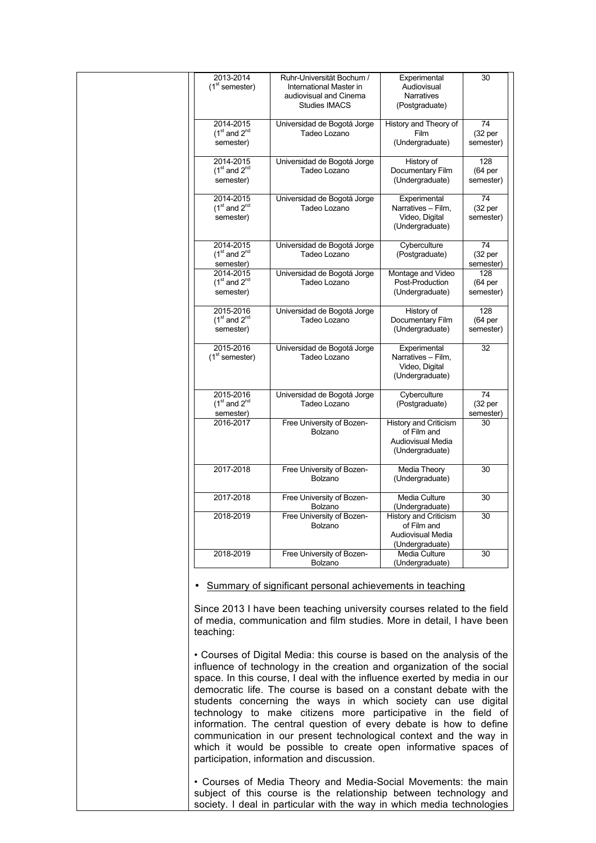| 2013-2014<br>$(1st$ semester)              | Ruhr-Universität Bochum /<br>International Master in<br>audiovisual and Cinema<br><b>Studies IMACS</b> | Experimental<br>Audiovisual<br>Narratives<br>(Postgraduate)                         | 30                                      |
|--------------------------------------------|--------------------------------------------------------------------------------------------------------|-------------------------------------------------------------------------------------|-----------------------------------------|
| 2014-2015<br>$(1st$ and $2nd$<br>semester) | Universidad de Bogotá Jorge<br>Tadeo Lozano                                                            | History and Theory of<br>Film<br>(Undergraduate)                                    | 74<br>(32 per<br>semester)              |
| 2014-2015<br>$(1st$ and $2nd$<br>semester) | Universidad de Bogotá Jorge<br>Tadeo Lozano                                                            | History of<br>Documentary Film<br>(Undergraduate)                                   | 128<br>(64 per<br>semester)             |
| 2014-2015<br>$(1st$ and $2nd$<br>semester) | Universidad de Bogotá Jorge<br>Tadeo Lozano                                                            | Experimental<br>Narratives - Film,<br>Video, Digital<br>(Undergraduate)             | 74<br>(32 per<br>semester)              |
| 2014-2015<br>$(1st$ and $2nd$<br>semester) | Universidad de Bogotá Jorge<br>Tadeo Lozano                                                            | Cyberculture<br>(Postgraduate)                                                      | 74<br>(32 <sub>per</sub> )<br>semester) |
| 2014-2015<br>$(1st$ and $2nd$<br>semester) | Universidad de Bogotá Jorge<br>Tadeo Lozano                                                            | Montage and Video<br>Post-Production<br>(Undergraduate)                             | 128<br>(64 per<br>semester)             |
| 2015-2016<br>$(1st$ and $2nd$<br>semester) | Universidad de Bogotá Jorge<br>Tadeo Lozano                                                            | History of<br>Documentary Film<br>(Undergraduate)                                   | 128<br>(64 per<br>semester)             |
| 2015-2016<br>$(1st$ semester)              | Universidad de Bogotá Jorge<br>Tadeo Lozano                                                            | Experimental<br>Narratives - Film,<br>Video, Digital<br>(Undergraduate)             | 32                                      |
| 2015-2016<br>$(1st$ and $2nd$<br>semester) | Universidad de Bogotá Jorge<br>Tadeo Lozano                                                            | Cyberculture<br>(Postgraduate)                                                      | 74<br>(32 per<br>semester)              |
| 2016-2017                                  | Free University of Bozen-<br>Bolzano                                                                   | History and Criticism<br>of Film and<br>Audiovisual Media<br>(Undergraduate)        | 30                                      |
| 2017-2018                                  | Free University of Bozen-<br>Bolzano                                                                   | Media Theory<br>(Undergraduate)                                                     | 30                                      |
| 2017-2018                                  | Free University of Bozen-<br>Bolzano                                                                   | Media Culture<br>(Undergraduate)                                                    | 30                                      |
| 2018-2019                                  | Free University of Bozen-<br>Bolzano                                                                   | <b>History and Criticism</b><br>of Film and<br>Audiovisual Media<br>(Undergraduate) | 30                                      |
| 2018-2019                                  | Free University of Bozen-<br>Bolzano                                                                   | Media Culture<br>(Undergraduate)                                                    | 30                                      |

Since 2013 I have been teaching university courses related to the field of media, communication and film studies. More in detail, I have been teaching:

• Courses of Digital Media: this course is based on the analysis of the influence of technology in the creation and organization of the social space. In this course, I deal with the influence exerted by media in our democratic life. The course is based on a constant debate with the students concerning the ways in which society can use digital technology to make citizens more participative in the field of information. The central question of every debate is how to define communication in our present technological context and the way in which it would be possible to create open informative spaces of participation, information and discussion.

• Courses of Media Theory and Media-Social Movements: the main subject of this course is the relationship between technology and society. I deal in particular with the way in which media technologies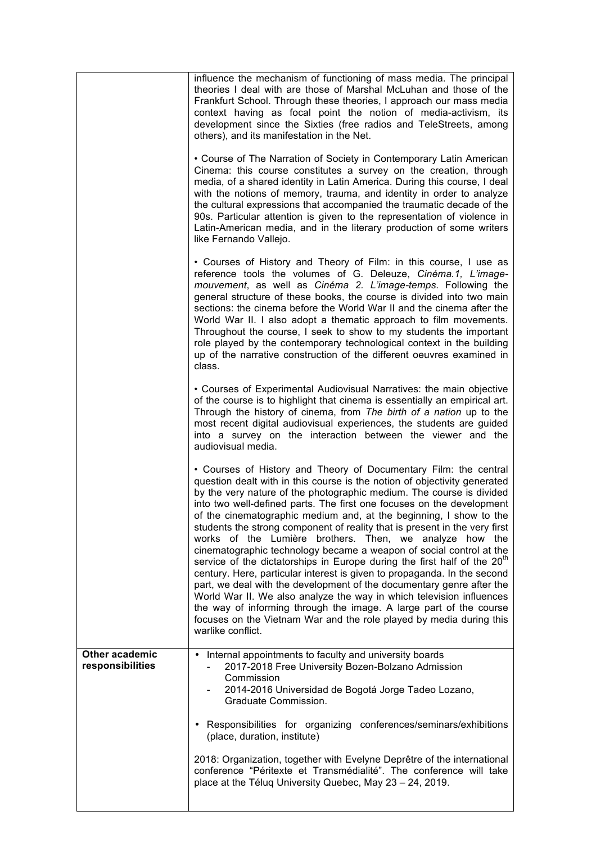|                                    | influence the mechanism of functioning of mass media. The principal<br>theories I deal with are those of Marshal McLuhan and those of the<br>Frankfurt School. Through these theories, I approach our mass media<br>context having as focal point the notion of media-activism, its<br>development since the Sixties (free radios and TeleStreets, among<br>others), and its manifestation in the Net.                                                                                                                                                                                                                                                                                                                                                                                                                                                                                                                                                                                                                                                                      |
|------------------------------------|-----------------------------------------------------------------------------------------------------------------------------------------------------------------------------------------------------------------------------------------------------------------------------------------------------------------------------------------------------------------------------------------------------------------------------------------------------------------------------------------------------------------------------------------------------------------------------------------------------------------------------------------------------------------------------------------------------------------------------------------------------------------------------------------------------------------------------------------------------------------------------------------------------------------------------------------------------------------------------------------------------------------------------------------------------------------------------|
|                                    | • Course of The Narration of Society in Contemporary Latin American<br>Cinema: this course constitutes a survey on the creation, through<br>media, of a shared identity in Latin America. During this course, I deal<br>with the notions of memory, trauma, and identity in order to analyze<br>the cultural expressions that accompanied the traumatic decade of the<br>90s. Particular attention is given to the representation of violence in<br>Latin-American media, and in the literary production of some writers<br>like Fernando Vallejo.                                                                                                                                                                                                                                                                                                                                                                                                                                                                                                                          |
|                                    | • Courses of History and Theory of Film: in this course, I use as<br>reference tools the volumes of G. Deleuze, Cinéma.1, L'image-<br>mouvement, as well as Cinéma 2. L'image-temps. Following the<br>general structure of these books, the course is divided into two main<br>sections: the cinema before the World War II and the cinema after the<br>World War II. I also adopt a thematic approach to film movements.<br>Throughout the course, I seek to show to my students the important<br>role played by the contemporary technological context in the building<br>up of the narrative construction of the different oeuvres examined in<br>class.                                                                                                                                                                                                                                                                                                                                                                                                                 |
|                                    | • Courses of Experimental Audiovisual Narratives: the main objective<br>of the course is to highlight that cinema is essentially an empirical art.<br>Through the history of cinema, from The birth of a nation up to the<br>most recent digital audiovisual experiences, the students are guided<br>into a survey on the interaction between the viewer and the<br>audiovisual media.                                                                                                                                                                                                                                                                                                                                                                                                                                                                                                                                                                                                                                                                                      |
|                                    | • Courses of History and Theory of Documentary Film: the central<br>question dealt with in this course is the notion of objectivity generated<br>by the very nature of the photographic medium. The course is divided<br>into two well-defined parts. The first one focuses on the development<br>of the cinematographic medium and, at the beginning, I show to the<br>students the strong component of reality that is present in the very first<br>works of the Lumière brothers. Then, we analyze how the<br>cinematographic technology became a weapon of social control at the<br>service of the dictatorships in Europe during the first half of the 20 <sup>th</sup><br>century. Here, particular interest is given to propaganda. In the second<br>part, we deal with the development of the documentary genre after the<br>World War II. We also analyze the way in which television influences<br>the way of informing through the image. A large part of the course<br>focuses on the Vietnam War and the role played by media during this<br>warlike conflict. |
| Other academic<br>responsibilities | Internal appointments to faculty and university boards<br>$\bullet$<br>2017-2018 Free University Bozen-Bolzano Admission<br>Commission<br>2014-2016 Universidad de Bogotá Jorge Tadeo Lozano,<br>Graduate Commission.                                                                                                                                                                                                                                                                                                                                                                                                                                                                                                                                                                                                                                                                                                                                                                                                                                                       |
|                                    | • Responsibilities for organizing conferences/seminars/exhibitions<br>(place, duration, institute)                                                                                                                                                                                                                                                                                                                                                                                                                                                                                                                                                                                                                                                                                                                                                                                                                                                                                                                                                                          |
|                                    | 2018: Organization, together with Evelyne Deprêtre of the international<br>conference "Péritexte et Transmédialité". The conference will take<br>place at the Téluq University Quebec, May 23 - 24, 2019.                                                                                                                                                                                                                                                                                                                                                                                                                                                                                                                                                                                                                                                                                                                                                                                                                                                                   |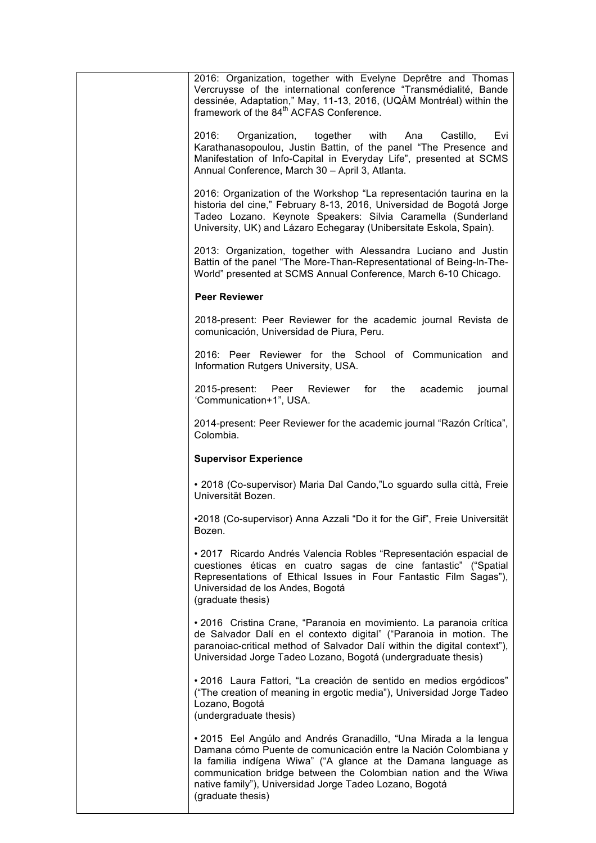| 2016: Organization, together with Evelyne Deprêtre and Thomas<br>Vercruysse of the international conference "Transmédialité, Bande<br>dessinée, Adaptation," May, 11-13, 2016, (UQÀM Montréal) within the<br>framework of the 84 <sup>th</sup> ACFAS Conference.                                                                                        |
|---------------------------------------------------------------------------------------------------------------------------------------------------------------------------------------------------------------------------------------------------------------------------------------------------------------------------------------------------------|
| 2016:<br>Organization, together with Ana<br>Castillo,<br>Evi<br>Karathanasopoulou, Justin Battin, of the panel "The Presence and<br>Manifestation of Info-Capital in Everyday Life", presented at SCMS<br>Annual Conference, March 30 - April 3, Atlanta.                                                                                               |
| 2016: Organization of the Workshop "La representación taurina en la<br>historia del cine," February 8-13, 2016, Universidad de Bogotá Jorge<br>Tadeo Lozano. Keynote Speakers: Silvia Caramella (Sunderland<br>University, UK) and Lázaro Echegaray (Unibersitate Eskola, Spain).                                                                       |
| 2013: Organization, together with Alessandra Luciano and Justin<br>Battin of the panel "The More-Than-Representational of Being-In-The-<br>World" presented at SCMS Annual Conference, March 6-10 Chicago.                                                                                                                                              |
| <b>Peer Reviewer</b>                                                                                                                                                                                                                                                                                                                                    |
| 2018-present: Peer Reviewer for the academic journal Revista de<br>comunicación, Universidad de Piura, Peru.                                                                                                                                                                                                                                            |
| 2016: Peer Reviewer for the School of Communication and<br>Information Rutgers University, USA.                                                                                                                                                                                                                                                         |
| 2015-present: Peer Reviewer<br>for<br>the<br>academic<br>journal<br>'Communication+1", USA.                                                                                                                                                                                                                                                             |
| 2014-present: Peer Reviewer for the academic journal "Razón Crítica",<br>Colombia.                                                                                                                                                                                                                                                                      |
| <b>Supervisor Experience</b>                                                                                                                                                                                                                                                                                                                            |
| • 2018 (Co-supervisor) Maria Dal Cando,"Lo sguardo sulla città, Freie<br>Universität Bozen.                                                                                                                                                                                                                                                             |
| •2018 (Co-supervisor) Anna Azzali "Do it for the Gif", Freie Universität<br>Bozen.                                                                                                                                                                                                                                                                      |
| · 2017 Ricardo Andrés Valencia Robles "Representación espacial de<br>cuestiones éticas en cuatro sagas de cine fantastic" ("Spatial<br>Representations of Ethical Issues in Four Fantastic Film Sagas"),<br>Universidad de los Andes, Bogotá<br>(graduate thesis)                                                                                       |
| • 2016 Cristina Crane, "Paranoia en movimiento. La paranoia crítica<br>de Salvador Dalí en el contexto digital" ("Paranoia in motion. The<br>paranoiac-critical method of Salvador Dalí within the digital context"),<br>Universidad Jorge Tadeo Lozano, Bogotá (undergraduate thesis)                                                                  |
| •2016 Laura Fattori, "La creación de sentido en medios ergódicos"<br>("The creation of meaning in ergotic media"), Universidad Jorge Tadeo<br>Lozano, Bogotá<br>(undergraduate thesis)                                                                                                                                                                  |
| • 2015 Eel Angúlo and Andrés Granadillo, "Una Mirada a la lengua<br>Damana cómo Puente de comunicación entre la Nación Colombiana y<br>la familia indígena Wiwa" ("A glance at the Damana language as<br>communication bridge between the Colombian nation and the Wiwa<br>native family"), Universidad Jorge Tadeo Lozano, Bogotá<br>(graduate thesis) |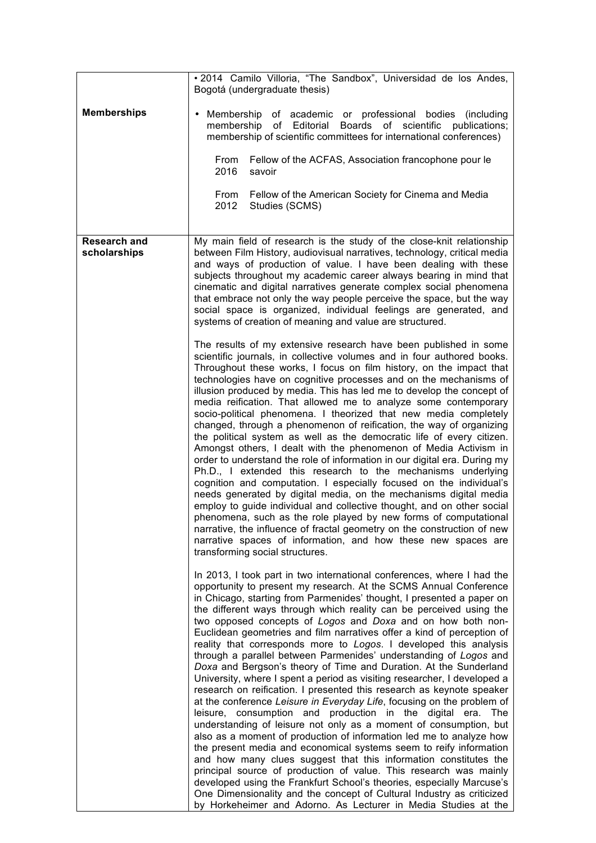|                                     | · 2014 Camilo Villoria, "The Sandbox", Universidad de los Andes,<br>Bogotá (undergraduate thesis)                                                                                                                                                                                                                                                                                                                                                                                                                                                                                                                                                                                                                                                                                                                                                                                                                                                                                                                                                                                                                                                                                                                                                                                                                                                                                                                                                                                                                                |
|-------------------------------------|----------------------------------------------------------------------------------------------------------------------------------------------------------------------------------------------------------------------------------------------------------------------------------------------------------------------------------------------------------------------------------------------------------------------------------------------------------------------------------------------------------------------------------------------------------------------------------------------------------------------------------------------------------------------------------------------------------------------------------------------------------------------------------------------------------------------------------------------------------------------------------------------------------------------------------------------------------------------------------------------------------------------------------------------------------------------------------------------------------------------------------------------------------------------------------------------------------------------------------------------------------------------------------------------------------------------------------------------------------------------------------------------------------------------------------------------------------------------------------------------------------------------------------|
| <b>Memberships</b>                  | Membership of academic or professional bodies (including<br>٠<br>Boards of scientific publications;<br>membership of Editorial<br>membership of scientific committees for international conferences)                                                                                                                                                                                                                                                                                                                                                                                                                                                                                                                                                                                                                                                                                                                                                                                                                                                                                                                                                                                                                                                                                                                                                                                                                                                                                                                             |
|                                     | Fellow of the ACFAS, Association francophone pour le<br>From<br>2016<br>savoir                                                                                                                                                                                                                                                                                                                                                                                                                                                                                                                                                                                                                                                                                                                                                                                                                                                                                                                                                                                                                                                                                                                                                                                                                                                                                                                                                                                                                                                   |
|                                     | From<br>Fellow of the American Society for Cinema and Media<br>2012<br>Studies (SCMS)                                                                                                                                                                                                                                                                                                                                                                                                                                                                                                                                                                                                                                                                                                                                                                                                                                                                                                                                                                                                                                                                                                                                                                                                                                                                                                                                                                                                                                            |
| <b>Research and</b><br>scholarships | My main field of research is the study of the close-knit relationship<br>between Film History, audiovisual narratives, technology, critical media<br>and ways of production of value. I have been dealing with these<br>subjects throughout my academic career always bearing in mind that<br>cinematic and digital narratives generate complex social phenomena<br>that embrace not only the way people perceive the space, but the way<br>social space is organized, individual feelings are generated, and<br>systems of creation of meaning and value are structured.                                                                                                                                                                                                                                                                                                                                                                                                                                                                                                                                                                                                                                                                                                                                                                                                                                                                                                                                                        |
|                                     | The results of my extensive research have been published in some<br>scientific journals, in collective volumes and in four authored books.<br>Throughout these works, I focus on film history, on the impact that<br>technologies have on cognitive processes and on the mechanisms of<br>illusion produced by media. This has led me to develop the concept of<br>media reification. That allowed me to analyze some contemporary<br>socio-political phenomena. I theorized that new media completely<br>changed, through a phenomenon of reification, the way of organizing<br>the political system as well as the democratic life of every citizen.<br>Amongst others, I dealt with the phenomenon of Media Activism in<br>order to understand the role of information in our digital era. During my<br>Ph.D., I extended this research to the mechanisms underlying<br>cognition and computation. I especially focused on the individual's<br>needs generated by digital media, on the mechanisms digital media<br>employ to guide individual and collective thought, and on other social<br>phenomena, such as the role played by new forms of computational<br>narrative, the influence of fractal geometry on the construction of new<br>narrative spaces of information, and how these new spaces are<br>transforming social structures.                                                                                                                                                                                 |
|                                     | In 2013, I took part in two international conferences, where I had the<br>opportunity to present my research. At the SCMS Annual Conference<br>in Chicago, starting from Parmenides' thought, I presented a paper on<br>the different ways through which reality can be perceived using the<br>two opposed concepts of Logos and Doxa and on how both non-<br>Euclidean geometries and film narratives offer a kind of perception of<br>reality that corresponds more to Logos. I developed this analysis<br>through a parallel between Parmenides' understanding of Logos and<br>Doxa and Bergson's theory of Time and Duration. At the Sunderland<br>University, where I spent a period as visiting researcher, I developed a<br>research on reification. I presented this research as keynote speaker<br>at the conference Leisure in Everyday Life, focusing on the problem of<br>leisure, consumption and production in the digital era. The<br>understanding of leisure not only as a moment of consumption, but<br>also as a moment of production of information led me to analyze how<br>the present media and economical systems seem to reify information<br>and how many clues suggest that this information constitutes the<br>principal source of production of value. This research was mainly<br>developed using the Frankfurt School's theories, especially Marcuse's<br>One Dimensionality and the concept of Cultural Industry as criticized<br>by Horkeheimer and Adorno. As Lecturer in Media Studies at the |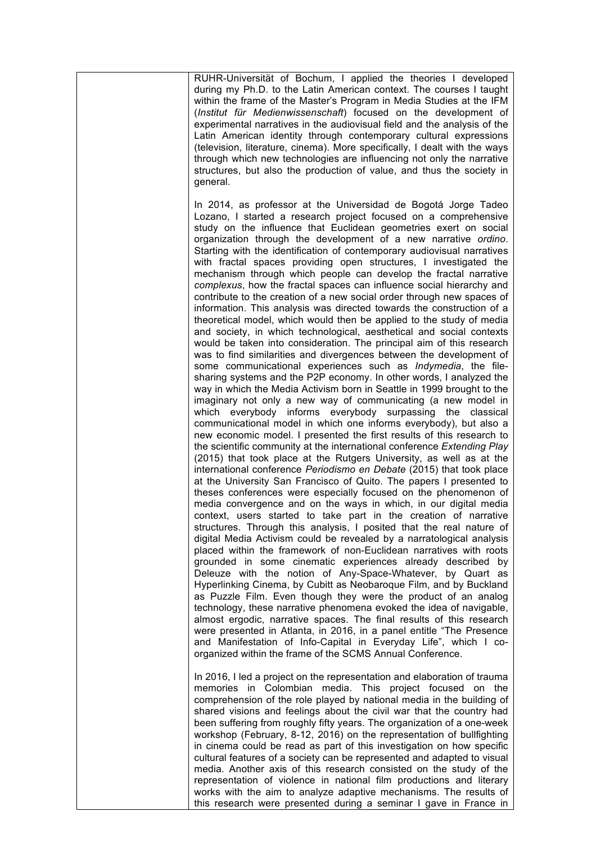| RUHR-Universität of Bochum, I applied the theories I developed<br>during my Ph.D. to the Latin American context. The courses I taught<br>within the frame of the Master's Program in Media Studies at the IFM<br>(Institut für Medienwissenschaft) focused on the development of<br>experimental narratives in the audiovisual field and the analysis of the<br>Latin American identity through contemporary cultural expressions<br>(television, literature, cinema). More specifically, I dealt with the ways<br>through which new technologies are influencing not only the narrative<br>structures, but also the production of value, and thus the society in<br>general.                                                                                                                                                                                                                                                                                                                                                                                                                                                                                                                                                                                                                                                                                                                                                                                                                                                                                                                                                                                                                                                                                                                                                                                                                                                                                                                                                                                                                                                                                                                                                                                                                                                                                                                                                                                                                                                                                                                                                                                                                                                                                                                                                                                                                  |
|------------------------------------------------------------------------------------------------------------------------------------------------------------------------------------------------------------------------------------------------------------------------------------------------------------------------------------------------------------------------------------------------------------------------------------------------------------------------------------------------------------------------------------------------------------------------------------------------------------------------------------------------------------------------------------------------------------------------------------------------------------------------------------------------------------------------------------------------------------------------------------------------------------------------------------------------------------------------------------------------------------------------------------------------------------------------------------------------------------------------------------------------------------------------------------------------------------------------------------------------------------------------------------------------------------------------------------------------------------------------------------------------------------------------------------------------------------------------------------------------------------------------------------------------------------------------------------------------------------------------------------------------------------------------------------------------------------------------------------------------------------------------------------------------------------------------------------------------------------------------------------------------------------------------------------------------------------------------------------------------------------------------------------------------------------------------------------------------------------------------------------------------------------------------------------------------------------------------------------------------------------------------------------------------------------------------------------------------------------------------------------------------------------------------------------------------------------------------------------------------------------------------------------------------------------------------------------------------------------------------------------------------------------------------------------------------------------------------------------------------------------------------------------------------------------------------------------------------------------------------------------------------|
| In 2014, as professor at the Universidad de Bogotá Jorge Tadeo<br>Lozano, I started a research project focused on a comprehensive<br>study on the influence that Euclidean geometries exert on social<br>organization through the development of a new narrative ordino.<br>Starting with the identification of contemporary audiovisual narratives<br>with fractal spaces providing open structures, I investigated the<br>mechanism through which people can develop the fractal narrative<br>complexus, how the fractal spaces can influence social hierarchy and<br>contribute to the creation of a new social order through new spaces of<br>information. This analysis was directed towards the construction of a<br>theoretical model, which would then be applied to the study of media<br>and society, in which technological, aesthetical and social contexts<br>would be taken into consideration. The principal aim of this research<br>was to find similarities and divergences between the development of<br>some communicational experiences such as <i>Indymedia</i> , the file-<br>sharing systems and the P2P economy. In other words, I analyzed the<br>way in which the Media Activism born in Seattle in 1999 brought to the<br>imaginary not only a new way of communicating (a new model in<br>which everybody informs everybody surpassing the classical<br>communicational model in which one informs everybody), but also a<br>new economic model. I presented the first results of this research to<br>the scientific community at the international conference Extending Play<br>(2015) that took place at the Rutgers University, as well as at the<br>international conference Periodismo en Debate (2015) that took place<br>at the University San Francisco of Quito. The papers I presented to<br>theses conferences were especially focused on the phenomenon of<br>media convergence and on the ways in which, in our digital media<br>context, users started to take part in the creation of narrative<br>structures. Through this analysis, I posited that the real nature of<br>digital Media Activism could be revealed by a narratological analysis<br>placed within the framework of non-Euclidean narratives with roots<br>grounded in some cinematic experiences already described by<br>Deleuze with the notion of Any-Space-Whatever, by Quart as<br>Hyperlinking Cinema, by Cubitt as Neobaroque Film, and by Buckland<br>as Puzzle Film. Even though they were the product of an analog<br>technology, these narrative phenomena evoked the idea of navigable,<br>almost ergodic, narrative spaces. The final results of this research<br>were presented in Atlanta, in 2016, in a panel entitle "The Presence<br>and Manifestation of Info-Capital in Everyday Life", which I co-<br>organized within the frame of the SCMS Annual Conference. |
| In 2016, I led a project on the representation and elaboration of trauma<br>memories in Colombian media. This project focused on the<br>comprehension of the role played by national media in the building of<br>shared visions and feelings about the civil war that the country had<br>been suffering from roughly fifty years. The organization of a one-week<br>workshop (February, 8-12, 2016) on the representation of bullfighting<br>in cinema could be read as part of this investigation on how specific<br>cultural features of a society can be represented and adapted to visual<br>media. Another axis of this research consisted on the study of the                                                                                                                                                                                                                                                                                                                                                                                                                                                                                                                                                                                                                                                                                                                                                                                                                                                                                                                                                                                                                                                                                                                                                                                                                                                                                                                                                                                                                                                                                                                                                                                                                                                                                                                                                                                                                                                                                                                                                                                                                                                                                                                                                                                                                            |
| representation of violence in national film productions and literary<br>works with the aim to analyze adaptive mechanisms. The results of<br>this research were presented during a seminar I gave in France in                                                                                                                                                                                                                                                                                                                                                                                                                                                                                                                                                                                                                                                                                                                                                                                                                                                                                                                                                                                                                                                                                                                                                                                                                                                                                                                                                                                                                                                                                                                                                                                                                                                                                                                                                                                                                                                                                                                                                                                                                                                                                                                                                                                                                                                                                                                                                                                                                                                                                                                                                                                                                                                                                 |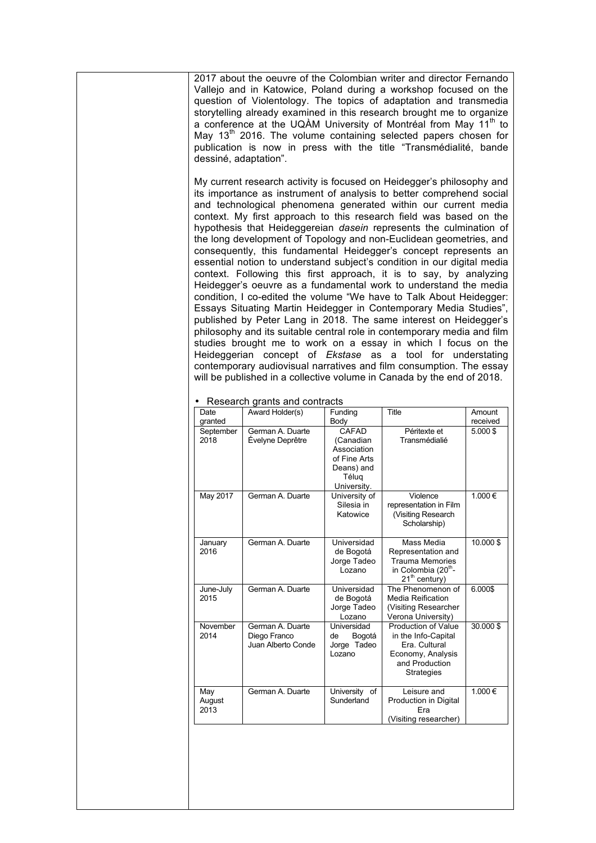2017 about the oeuvre of the Colombian writer and director Fernando Vallejo and in Katowice, Poland during a workshop focused on the question of Violentology. The topics of adaptation and transmedia storytelling already examined in this research brought me to organize a conference at the UQAM University of Montréal from May 11<sup>th</sup> to May  $13<sup>th</sup>$  2016. The volume containing selected papers chosen for publication is now in press with the title "Transmédialité, bande dessiné, adaptation".

My current research activity is focused on Heidegger's philosophy and its importance as instrument of analysis to better comprehend social and technological phenomena generated within our current media context. My first approach to this research field was based on the hypothesis that Heideggereian *dasein* represents the culmination of the long development of Topology and non-Euclidean geometries, and consequently, this fundamental Heidegger's concept represents an essential notion to understand subject's condition in our digital media context. Following this first approach, it is to say, by analyzing Heidegger's oeuvre as a fundamental work to understand the media condition, I co-edited the volume "We have to Talk About Heidegger: Essays Situating Martin Heidegger in Contemporary Media Studies", published by Peter Lang in 2018. The same interest on Heidegger's philosophy and its suitable central role in contemporary media and film studies brought me to work on a essay in which I focus on the Heideggerian concept of *Ekstase* as a tool for understating contemporary audiovisual narratives and film consumption. The essay will be published in a collective volume in Canada by the end of 2018.

| Date<br>granted       | Award Holder(s)                                        | Funding<br>Body                                                                         | Title                                                                                                                   | Amount<br>received |
|-----------------------|--------------------------------------------------------|-----------------------------------------------------------------------------------------|-------------------------------------------------------------------------------------------------------------------------|--------------------|
| September<br>2018     | German A. Duarte<br>Évelyne Deprêtre                   | CAFAD<br>(Canadian<br>Association<br>of Fine Arts<br>Deans) and<br>Téluq<br>University. | Péritexte et<br>Transmédialié                                                                                           | $5.000$ \$         |
| May 2017              | German A. Duarte                                       | University of<br>Silesia in<br>Katowice                                                 | Violence<br>representation in Film<br>(Visiting Research<br>Scholarship)                                                | 1.000€             |
| January<br>2016       | German A. Duarte                                       | Universidad<br>de Bogotá<br>Jorge Tadeo<br>Lozano                                       | Mass Media<br>Representation and<br><b>Trauma Memories</b><br>in Colombia (20 <sup>th</sup> -<br>$21th$ century)        | 10.000\$           |
| June-July<br>2015     | German A. Duarte                                       | Universidad<br>de Bogotá<br>Jorge Tadeo<br>Lozano                                       | The Phenomenon of<br><b>Media Reification</b><br>(Visiting Researcher<br>Verona University)                             | 6.000\$            |
| November<br>2014      | German A. Duarte<br>Diego Franco<br>Juan Alberto Conde | Universidad<br>de<br>Bogotá<br>Jorge Tadeo<br>Lozano                                    | Production of Value<br>in the Info-Capital<br>Era. Cultural<br>Economy, Analysis<br>and Production<br><b>Strategies</b> | 30.000\$           |
| May<br>August<br>2013 | German A. Duarte                                       | University of<br>Sunderland                                                             | Leisure and<br>Production in Digital<br>Era<br>(Visiting researcher)                                                    | 1.000€             |
|                       |                                                        |                                                                                         |                                                                                                                         |                    |

Research grants and contracts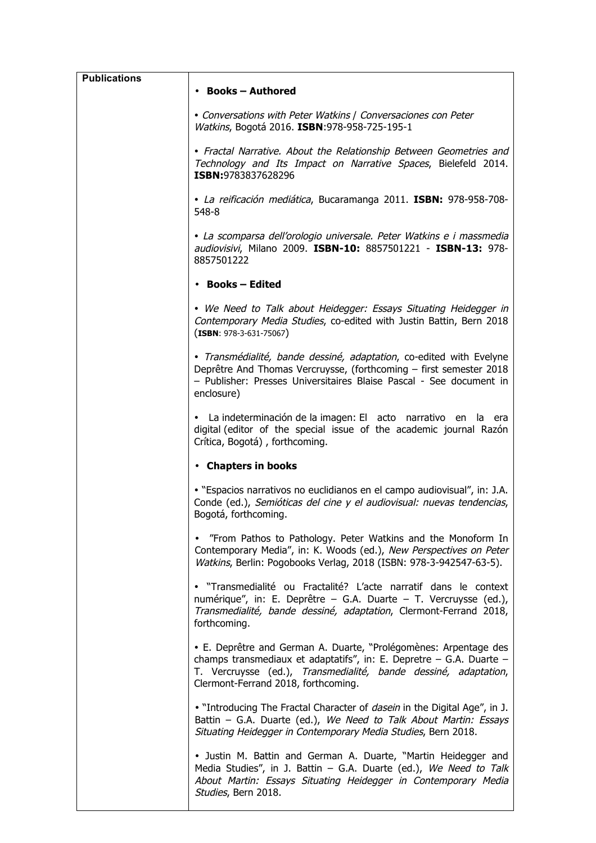| <b>Publications</b> | • Books – Authored                                                                                                                                                                                                                                    |
|---------------------|-------------------------------------------------------------------------------------------------------------------------------------------------------------------------------------------------------------------------------------------------------|
|                     | • Conversations with Peter Watkins   Conversaciones con Peter<br>Watkins, Bogotá 2016. ISBN:978-958-725-195-1                                                                                                                                         |
|                     | • Fractal Narrative. About the Relationship Between Geometries and<br>Technology and Its Impact on Narrative Spaces, Bielefeld 2014.<br>ISBN:9783837628296                                                                                            |
|                     | · La reificación mediática, Bucaramanga 2011. ISBN: 978-958-708-<br>548-8                                                                                                                                                                             |
|                     | • La scomparsa dell'orologio universale. Peter Watkins e i massmedia<br>audiovisivi, Milano 2009. ISBN-10: 8857501221 - ISBN-13: 978-<br>8857501222                                                                                                   |
|                     | • Books – Edited                                                                                                                                                                                                                                      |
|                     | • We Need to Talk about Heidegger: Essays Situating Heidegger in<br>Contemporary Media Studies, co-edited with Justin Battin, Bern 2018<br>$(ISBN: 978-3-631-75067)$                                                                                  |
|                     | · Transmédialité, bande dessiné, adaptation, co-edited with Evelyne<br>Deprêtre And Thomas Vercruysse, (forthcoming - first semester 2018<br>- Publisher: Presses Universitaires Blaise Pascal - See document in<br>enclosure)                        |
|                     | • La indeterminación de la imagen: El acto narrativo en la era<br>digital (editor of the special issue of the academic journal Razón<br>Crítica, Bogotá), forthcoming.                                                                                |
|                     | • Chapters in books                                                                                                                                                                                                                                   |
|                     | . "Espacios narrativos no euclidianos en el campo audiovisual", in: J.A.<br>Conde (ed.), Semióticas del cine y el audiovisual: nuevas tendencias,<br>Bogotá, forthcoming.                                                                             |
|                     | • "From Pathos to Pathology. Peter Watkins and the Monoform In<br>Contemporary Media", in: K. Woods (ed.), New Perspectives on Peter<br>Watkins, Berlin: Pogobooks Verlag, 2018 (ISBN: 978-3-942547-63-5).                                            |
|                     | · "Transmedialité ou Fractalité? L'acte narratif dans le context<br>numérique", in: E. Deprêtre – G.A. Duarte – T. Vercruysse (ed.),<br>Transmedialité, bande dessiné, adaptation, Clermont-Ferrand 2018,<br>forthcoming.                             |
|                     | • E. Deprêtre and German A. Duarte, "Prolégomènes: Arpentage des<br>champs transmediaux et adaptatifs", in: E. Depretre $-$ G.A. Duarte $-$<br>T. Vercruysse (ed.), Transmedialité, bande dessiné, adaptation,<br>Clermont-Ferrand 2018, forthcoming. |
|                     | . "Introducing The Fractal Character of <i>dasein</i> in the Digital Age", in J.<br>Battin - G.A. Duarte (ed.), We Need to Talk About Martin: Essays<br>Situating Heidegger in Contemporary Media Studies, Bern 2018.                                 |
|                     | • Justin M. Battin and German A. Duarte, "Martin Heidegger and<br>Media Studies", in J. Battin - G.A. Duarte (ed.), We Need to Talk<br>About Martin: Essays Situating Heidegger in Contemporary Media<br>Studies, Bern 2018.                          |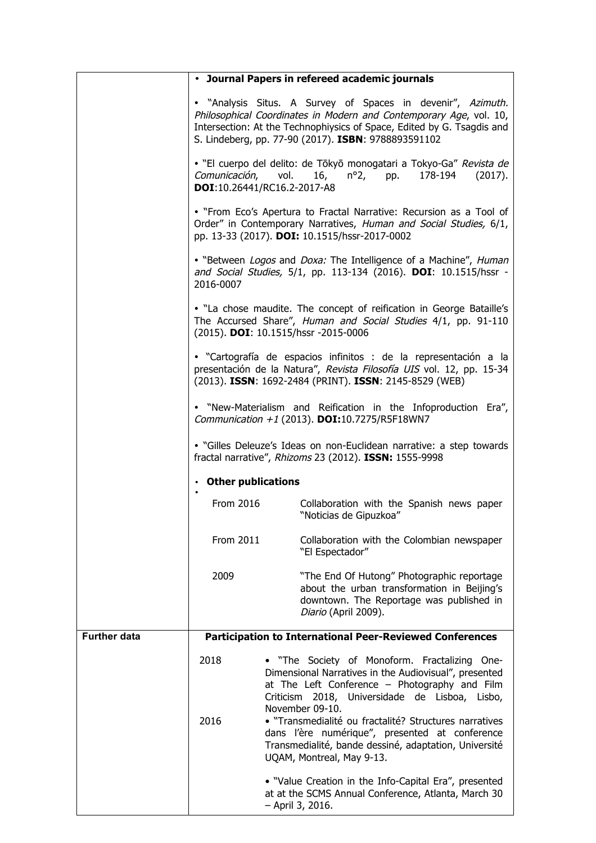|                     |                                                                                                                                                                               | • Journal Papers in refereed academic journals                                                                                                                                                                                                                                                                                                                                                                                 |  |  |  |
|---------------------|-------------------------------------------------------------------------------------------------------------------------------------------------------------------------------|--------------------------------------------------------------------------------------------------------------------------------------------------------------------------------------------------------------------------------------------------------------------------------------------------------------------------------------------------------------------------------------------------------------------------------|--|--|--|
|                     |                                                                                                                                                                               | • "Analysis Situs. A Survey of Spaces in devenir", Azimuth.<br>Philosophical Coordinates in Modern and Contemporary Age, vol. 10,<br>Intersection: At the Technophiysics of Space, Edited by G. Tsagdis and<br>S. Lindeberg, pp. 77-90 (2017). ISBN: 9788893591102                                                                                                                                                             |  |  |  |
|                     | Comunicación, vol.                                                                                                                                                            | · "El cuerpo del delito: de Tōkyō monogatari a Tokyo-Ga" Revista de<br>16, $n^{\circ}2$ , pp.<br>178-194<br>(2017).<br>DOI:10.26441/RC16.2-2017-A8                                                                                                                                                                                                                                                                             |  |  |  |
|                     |                                                                                                                                                                               | . "From Eco's Apertura to Fractal Narrative: Recursion as a Tool of<br>Order" in Contemporary Narratives, Human and Social Studies, 6/1,<br>pp. 13-33 (2017). DOI: 10.1515/hssr-2017-0002                                                                                                                                                                                                                                      |  |  |  |
|                     | . "Between Logos and Doxa: The Intelligence of a Machine", Human<br>and Social Studies, 5/1, pp. 113-134 (2016). DOI: 10.1515/hssr -<br>2016-0007                             |                                                                                                                                                                                                                                                                                                                                                                                                                                |  |  |  |
|                     | . "La chose maudite. The concept of reification in George Bataille's<br>The Accursed Share", Human and Social Studies 4/1, pp. 91-110<br>(2015). DOI: 10.1515/hssr -2015-0006 |                                                                                                                                                                                                                                                                                                                                                                                                                                |  |  |  |
|                     |                                                                                                                                                                               | · "Cartografía de espacios infinitos : de la representación a la<br>presentación de la Natura", Revista Filosofía UIS vol. 12, pp. 15-34<br>(2013). ISSN: 1692-2484 (PRINT). ISSN: 2145-8529 (WEB)                                                                                                                                                                                                                             |  |  |  |
|                     | • "New-Materialism and Reification in the Infoproduction Era",<br>Communication +1 (2013). DOI:10.7275/R5F18WN7                                                               |                                                                                                                                                                                                                                                                                                                                                                                                                                |  |  |  |
|                     | • "Gilles Deleuze's Ideas on non-Euclidean narrative: a step towards<br>fractal narrative", Rhizoms 23 (2012). ISSN: 1555-9998                                                |                                                                                                                                                                                                                                                                                                                                                                                                                                |  |  |  |
|                     | • Other publications                                                                                                                                                          |                                                                                                                                                                                                                                                                                                                                                                                                                                |  |  |  |
|                     | From 2016                                                                                                                                                                     | Collaboration with the Spanish news paper<br>"Noticias de Gipuzkoa"                                                                                                                                                                                                                                                                                                                                                            |  |  |  |
|                     | From 2011                                                                                                                                                                     | Collaboration with the Colombian newspaper<br>"El Espectador"                                                                                                                                                                                                                                                                                                                                                                  |  |  |  |
|                     | 2009                                                                                                                                                                          | "The End Of Hutong" Photographic reportage<br>about the urban transformation in Beijing's<br>downtown. The Reportage was published in<br>Diario (April 2009).                                                                                                                                                                                                                                                                  |  |  |  |
| <b>Further data</b> |                                                                                                                                                                               | <b>Participation to International Peer-Reviewed Conferences</b>                                                                                                                                                                                                                                                                                                                                                                |  |  |  |
|                     | 2018<br>2016                                                                                                                                                                  | • "The Society of Monoform. Fractalizing One-<br>Dimensional Narratives in the Audiovisual", presented<br>at The Left Conference - Photography and Film<br>Criticism 2018, Universidade de Lisboa, Lisbo,<br>November 09-10.<br>• "Transmedialité ou fractalité? Structures narratives<br>dans l'ère numérique", presented at conference<br>Transmedialité, bande dessiné, adaptation, Université<br>UQAM, Montreal, May 9-13. |  |  |  |
|                     |                                                                                                                                                                               | • "Value Creation in the Info-Capital Era", presented<br>at at the SCMS Annual Conference, Atlanta, March 30<br>- April 3, 2016.                                                                                                                                                                                                                                                                                               |  |  |  |